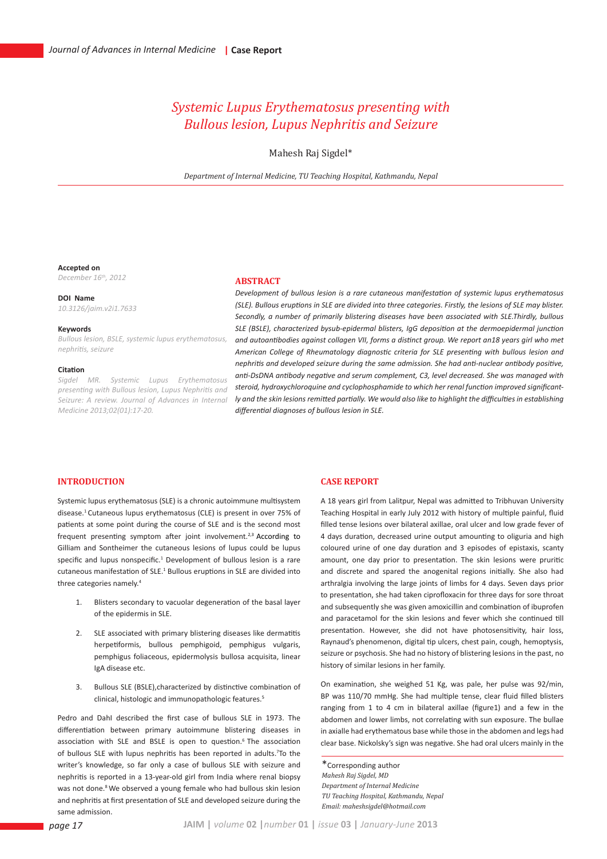# *Systemic Lupus Erythematosus presenting with Bullous lesion, Lupus Nephritis and Seizure*

Mahesh Raj Sigdel\*

*Department of Internal Medicine, TU Teaching Hospital, Kathmandu, Nepal*

#### **Accepted on**

*December 16th, 2012*

**DOI Name** *10.3126/jaim.v2i1.7633*

### **Keywords**

*Bullous lesion, BSLE, systemic lupus erythematosus, nephritis, seizure*

#### **Citation**

*Sigdel MR. Systemic Lupus Erythematosus presenting with Bullous lesion, Lupus Nephritis and Seizure: A review. Journal of Advances in Internal Medicine 2013;02(01):17-20.*

### **ABSTRACT**

*Development of bullous lesion is a rare cutaneous manifestation of systemic lupus erythematosus (SLE). Bullous eruptions in SLE are divided into three categories. Firstly, the lesions of SLE may blister. Secondly, a number of primarily blistering diseases have been associated with SLE.Thirdly, bullous SLE (BSLE), characterized bysub-epidermal blisters, IgG deposition at the dermoepidermal junction and autoantibodies against collagen VII, forms a distinct group. We report an18 years girl who met American College of Rheumatology diagnostic criteria for SLE presenting with bullous lesion and nephritis and developed seizure during the same admission. She had anti-nuclear antibody positive, anti-DsDNA antibody negative and serum complement, C3, level decreased. She was managed with steroid, hydroxychloroquine and cyclophosphamide to which her renal function improved significantly and the skin lesions remitted partially. We would also like to highlight the difficulties in establishing differential diagnoses of bullous lesion in SLE.*

## **INTRODUCTION**

Systemic lupus erythematosus (SLE) is a chronic autoimmune multisystem disease.1 Cutaneous lupus erythematosus (CLE) is present in over 75% of patients at some point during the course of SLE and is the second most frequent presenting symptom after joint involvement.<sup>2,3</sup> According to Gilliam and Sontheimer the cutaneous lesions of lupus could be lupus specific and lupus nonspecific.<sup>1</sup> Development of bullous lesion is a rare cutaneous manifestation of SLE.<sup>1</sup> Bullous eruptions in SLE are divided into three categories namely.4

- 1. Blisters secondary to vacuolar degeneration of the basal layer of the epidermis in SLE.
- SLE associated with primary blistering diseases like dermatitis herpetiformis, bullous pemphigoid, pemphigus vulgaris, pemphigus foliaceous, epidermolysis bullosa acquisita, linear IgA disease etc.
- 3. Bullous SLE (BSLE),characterized by distinctive combination of clinical, histologic and immunopathologic features.5

Pedro and DahI described the first case of bullous SLE in 1973. The differentiation between primary autoimmune blistering diseases in association with SLE and BSLE is open to question.<sup>6</sup> The association of bullous SLE with lupus nephritis has been reported in adults.7 To the writer's knowledge, so far only a case of bullous SLE with seizure and nephritis is reported in a 13-year-old girl from India where renal biopsy was not done.<sup>8</sup> We observed a young female who had bullous skin lesion and nephritis at first presentation of SLE and developed seizure during the same admission.

### **CASE REPORT**

A 18 years girl from Lalitpur, Nepal was admitted to Tribhuvan University Teaching Hospital in early July 2012 with history of multiple painful, fluid filled tense lesions over bilateral axillae, oral ulcer and low grade fever of 4 days duration, decreased urine output amounting to oliguria and high coloured urine of one day duration and 3 episodes of epistaxis, scanty amount, one day prior to presentation. The skin lesions were pruritic and discrete and spared the anogenital regions initially. She also had arthralgia involving the large joints of limbs for 4 days. Seven days prior to presentation, she had taken ciprofloxacin for three days for sore throat and subsequently she was given amoxicillin and combination of ibuprofen and paracetamol for the skin lesions and fever which she continued till presentation. However, she did not have photosensitivity, hair loss, Raynaud's phenomenon, digital tip ulcers, chest pain, cough, hemoptysis, seizure or psychosis. She had no history of blistering lesions in the past, no history of similar lesions in her family.

On examination, she weighed 51 Kg, was pale, her pulse was 92/min, BP was 110/70 mmHg. She had multiple tense, clear fluid filled blisters ranging from 1 to 4 cm in bilateral axillae (figure1) and a few in the abdomen and lower limbs, not correlating with sun exposure. The bullae in axialle had erythematous base while those in the abdomen and legs had clear base. Nickolsky's sign was negative. She had oral ulcers mainly in the

\*Corresponding author *Mahesh Raj Sigdel, MD Department of Internal Medicine TU Teaching Hospital, Kathmandu, Nepal Email: maheshsigdel@hotmail.com*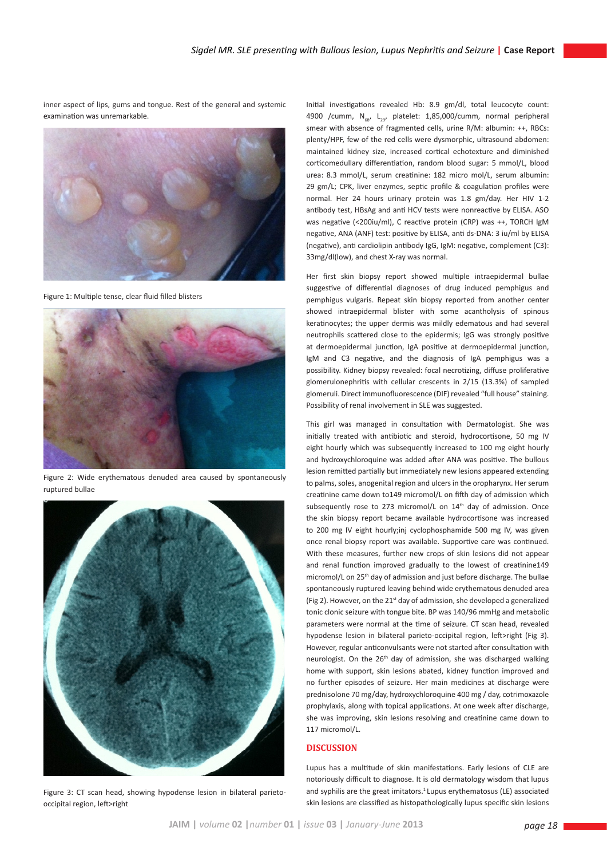inner aspect of lips, gums and tongue. Rest of the general and systemic examination was unremarkable.



Figure 1: Multiple tense, clear fluid filled blisters



Figure 2: Wide erythematous denuded area caused by spontaneously ruptured bullae



Figure 3: CT scan head, showing hypodense lesion in bilateral parietooccipital region, left>right

Initial investigations revealed Hb: 8.9 gm/dl, total leucocyte count: 4900 /cumm,  $N_{fs}$ ,  $L_{29}$ , platelet: 1,85,000/cumm, normal peripheral smear with absence of fragmented cells, urine R/M: albumin: ++, RBCs: plenty/HPF, few of the red cells were dysmorphic, ultrasound abdomen: maintained kidney size, increased cortical echotexture and diminished corticomedullary differentiation, random blood sugar: 5 mmol/L, blood urea: 8.3 mmol/L, serum creatinine: 182 micro mol/L, serum albumin: 29 gm/L; CPK, liver enzymes, septic profile & coagulation profiles were normal. Her 24 hours urinary protein was 1.8 gm/day. Her HIV 1-2 antibody test, HBsAg and anti HCV tests were nonreactive by ELISA. ASO was negative (<200iu/ml), C reactive protein (CRP) was ++, TORCH IgM negative, ANA (ANF) test: positive by ELISA, anti ds-DNA: 3 iu/ml by ELISA (negative), anti cardiolipin antibody IgG, IgM: negative, complement (C3): 33mg/dl(low), and chest X-ray was normal.

Her first skin biopsy report showed multiple intraepidermal bullae suggestive of differential diagnoses of drug induced pemphigus and pemphigus vulgaris. Repeat skin biopsy reported from another center showed intraepidermal blister with some acantholysis of spinous keratinocytes; the upper dermis was mildly edematous and had several neutrophils scattered close to the epidermis; IgG was strongly positive at dermoepidermal junction, IgA positive at dermoepidermal junction, IgM and C3 negative, and the diagnosis of IgA pemphigus was a possibility. Kidney biopsy revealed: focal necrotizing, diffuse proliferative glomerulonephritis with cellular crescents in 2/15 (13.3%) of sampled glomeruli. Direct immunofluorescence (DIF) revealed "full house" staining. Possibility of renal involvement in SLE was suggested.

This girl was managed in consultation with Dermatologist. She was initially treated with antibiotic and steroid, hydrocortisone, 50 mg IV eight hourly which was subsequently increased to 100 mg eight hourly and hydroxychloroquine was added after ANA was positive. The bullous lesion remitted partially but immediately new lesions appeared extending to palms, soles, anogenital region and ulcers in the oropharynx. Her serum creatinine came down to149 micromol/L on fifth day of admission which subsequently rose to 273 micromol/L on 14<sup>th</sup> day of admission. Once the skin biopsy report became available hydrocortisone was increased to 200 mg IV eight hourly;inj cyclophosphamide 500 mg IV, was given once renal biopsy report was available. Supportive care was continued. With these measures, further new crops of skin lesions did not appear and renal function improved gradually to the lowest of creatinine149 micromol/L on 25<sup>th</sup> day of admission and just before discharge. The bullae spontaneously ruptured leaving behind wide erythematous denuded area (Fig 2). However, on the 21<sup>st</sup> day of admission, she developed a generalized tonic clonic seizure with tongue bite. BP was 140/96 mmHg and metabolic parameters were normal at the time of seizure. CT scan head, revealed hypodense lesion in bilateral parieto-occipital region, left>right (Fig 3). However, regular anticonvulsants were not started after consultation with neurologist. On the 26<sup>th</sup> day of admission, she was discharged walking home with support, skin lesions abated, kidney function improved and no further episodes of seizure. Her main medicines at discharge were prednisolone 70 mg/day, hydroxychloroquine 400 mg / day, cotrimoxazole prophylaxis, along with topical applications. At one week after discharge, she was improving, skin lesions resolving and creatinine came down to 117 micromol/L.

# **DISCUSSION**

Lupus has a multitude of skin manifestations. Early lesions of CLE are notoriously difficult to diagnose. It is old dermatology wisdom that lupus and syphilis are the great imitators.<sup>1</sup> Lupus erythematosus (LE) associated skin lesions are classified as histopathologically lupus specific skin lesions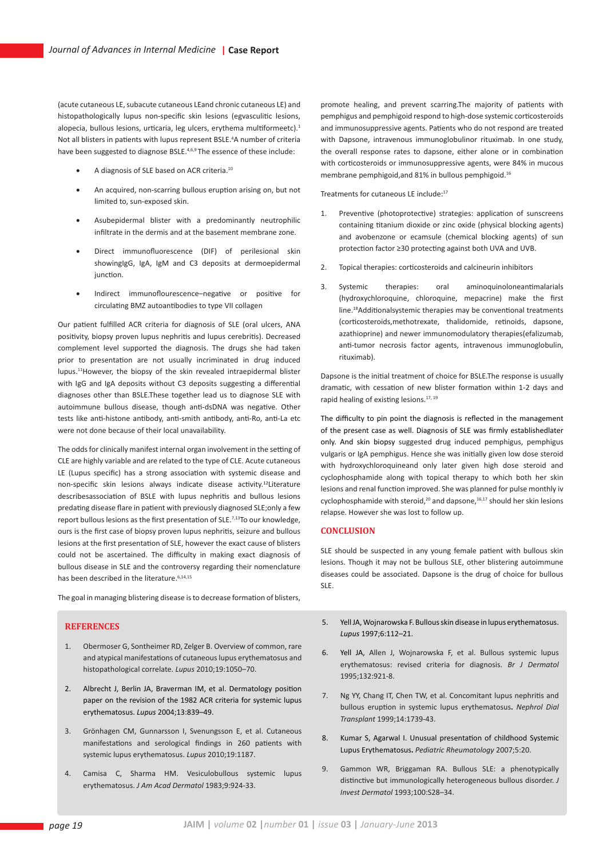(acute cutaneous LE, subacute cutaneous LEand chronic cutaneous LE) and histopathologically lupus non-specific skin lesions (egvasculitic lesions, alopecia, bullous lesions, urticaria, leg ulcers, erythema multiformeetc).<sup>1</sup> Not all blisters in patients with lupus represent BSLE.<sup>4</sup>A number of criteria have been suggested to diagnose BSLE.4,6,9 The essence of these include:

- A diagnosis of SLE based on ACR criteria.<sup>10</sup>
- An acquired, non-scarring bullous eruption arising on, but not limited to, sun-exposed skin.
- Asubepidermal blister with a predominantly neutrophilic infiltrate in the dermis and at the basement membrane zone.
- Direct immunofluorescence (DIF) of perilesional skin showingIgG, IgA, IgM and C3 deposits at dermoepidermal junction.
- Indirect immunoflourescence–negative or positive for circulating BMZ autoantibodies to type VII collagen

Our patient fulfilled ACR criteria for diagnosis of SLE (oral ulcers, ANA positivity, biopsy proven lupus nephritis and lupus cerebritis). Decreased complement level supported the diagnosis. The drugs she had taken prior to presentation are not usually incriminated in drug induced lupus.11However, the biopsy of the skin revealed intraepidermal blister with IgG and IgA deposits without C3 deposits suggesting a differential diagnoses other than BSLE.These together lead us to diagnose SLE with autoimmune bullous disease, though anti-dsDNA was negative. Other tests like anti-histone antibody, anti-smith antibody, anti-Ro, anti-La etc were not done because of their local unavailability.

The odds for clinically manifest internal organ involvement in the setting of CLE are highly variable and are related to the type of CLE. Acute cutaneous LE (Lupus specific) has a strong association with systemic disease and non-specific skin lesions always indicate disease activity.12Literature describesassociation of BSLE with lupus nephritis and bullous lesions predating disease flare in patient with previously diagnosed SLE;only a few report bullous lesions as the first presentation of SLE.<sup>7,13</sup>To our knowledge, ours is the first case of biopsy proven lupus nephritis, seizure and bullous lesions at the first presentation of SLE, however the exact cause of blisters could not be ascertained. The difficulty in making exact diagnosis of bullous disease in SLE and the controversy regarding their nomenclature has been described in the literature.<sup>6,14,15</sup>

The goal in managing blistering disease is to decrease formation of blisters,

### **REFERENCES**

- 1. Obermoser G, Sontheimer RD, Zelger B. Overview of common, rare and atypical manifestations of cutaneous lupus erythematosus and histopathological correlate. *Lupus* 2010;19:1050–70.
- 2. Albrecht J, Berlin JA, Braverman IM, et al. Dermatology position paper on the revision of the 1982 ACR criteria for systemic lupus erythematosus. *Lupus* 2004;13:839–49.
- 3. Grönhagen CM, Gunnarsson I, Svenungsson E, et al. Cutaneous manifestations and serological findings in 260 patients with systemic lupus erythematosus. *Lupus* 2010;19:1187.
- 4. Camisa C, Sharma HM. Vesiculobullous systemic lupus erythematosus. *J Am Acad Dermatol* 1983;9:924-33.

promote healing, and prevent scarring.The majority of patients with pemphigus and pemphigoid respond to high-dose systemic corticosteroids and immunosuppressive agents. Patients who do not respond are treated with Dapsone, intravenous immunoglobulinor rituximab. In one study, the overall response rates to dapsone, either alone or in combination with corticosteroids or immunosuppressive agents, were 84% in mucous membrane pemphigoid,and 81% in bullous pemphigoid.16

Treatments for cutaneous LE include:17

- 1. Preventive (photoprotective) strategies: application of sunscreens containing titanium dioxide or zinc oxide (physical blocking agents) and avobenzone or ecamsule (chemical blocking agents) of sun protection factor ≥30 protecting against both UVA and UVB.
- 2. Topical therapies: corticosteroids and calcineurin inhibitors
- 3. Systemic therapies: oral aminoquinoloneantimalarials (hydroxychloroquine, chloroquine, mepacrine) make the first line.18Additionalsystemic therapies may be conventional treatments (corticosteroids,methotrexate, thalidomide, retinoids, dapsone, azathioprine) and newer immunomodulatory therapies(efalizumab, anti-tumor necrosis factor agents, intravenous immunoglobulin, rituximab).

Dapsone is the initial treatment of choice for BSLE.The response is usually dramatic, with cessation of new blister formation within 1-2 days and rapid healing of existing lesions.<sup>17, 19</sup>

The difficulty to pin point the diagnosis is reflected in the management of the present case as well. Diagnosis of SLE was firmly establishedlater only. And skin biopsy suggested drug induced pemphigus, pemphigus vulgaris or IgA pemphigus. Hence she was initially given low dose steroid with hydroxychloroquineand only later given high dose steroid and cyclophosphamide along with topical therapy to which both her skin lesions and renal function improved. She was planned for pulse monthly iv cyclophosphamide with steroid, $20$  and dapsone, $16,17$  should her skin lesions relapse. However she was lost to follow up.

### **CONCLUSION**

SLE should be suspected in any young female patient with bullous skin lesions. Though it may not be bullous SLE, other blistering autoimmune diseases could be associated. Dapsone is the drug of choice for bullous SLE.

- 5. Yell JA, Wojnarowska F. Bullous skin disease in lupus erythematosus. *Lupus* 1997;6:112–21.
- 6. Yell JA, Allen J, Wojnarowska F, et al. Bullous systemic lupus erythematosus: revised criteria for diagnosis. *Br J Dermatol*  1995;132:921-8.
- 7. Ng YY, Chang IT, Chen TW, et al. Concomitant lupus nephritis and bullous eruption in systemic lupus erythematosus**.** *Nephrol Dial Transplant* 1999;14:1739-43.
- 8. Kumar S, Agarwal I. Unusual presentation of childhood Systemic Lupus Erythematosus**.** *Pediatric Rheumatology* 2007;5:20.
- 9. Gammon WR, Briggaman RA. Bullous SLE: a phenotypically distinctive but immunologically heterogeneous bullous disorder. *J Invest Dermatol* 1993;100:S28–34.